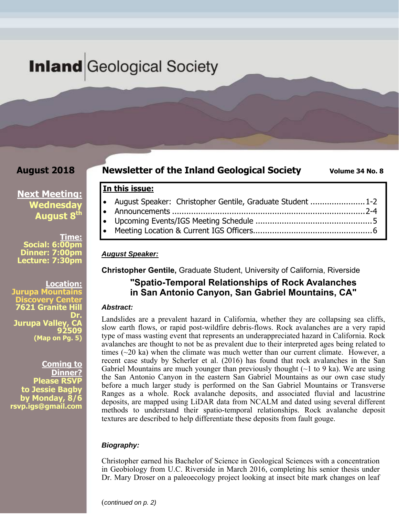# **Inland** Geological Society

## **August 2018**

## **Newsletter of the Inland Geological Society Wolume 34 No. 8**

## **Next Meeting: Wednesday**  August 8<sup>th</sup>

**Time: Social: 6:00pm Dinner: 7:00pm Lecture: 7:30pm** 

**Location: Jurupa Mounta Very Cen 7621 Granite Hill Dr. Jurupa Valley, 92509 (Map on Pg. 5)**

**Coming to Dinner? Please RSVF to Jessie Bagby by Monday, 8/6 rsvp.igs@gmail.com** 

| In this issue: |  |  |
|----------------|--|--|
|                |  |  |

| August Speaker: Christopher Gentile, Graduate Student 1-2 |  |  |  |
|-----------------------------------------------------------|--|--|--|
|                                                           |  |  |  |

- Upcoming Events/IGS Meeting Schedule ................................................. 5
- Meeting Location & Current IGS Officers .................................................. 6

### *August Speaker:*

**Christopher Gentile,** Graduate Student, University of California, Riverside

## **"Spatio-Temporal Relationships of Rock Avalanches in San Antonio Canyon, San Gabriel Mountains, CA"**

### *Abstract:*

Landslides are a prevalent hazard in California, whether they are collapsing sea cliffs, slow earth flows, or rapid post-wildfire debris-flows. Rock avalanches are a very rapid type of mass wasting event that represents an underappreciated hazard in California. Rock avalanches are thought to not be as prevalent due to their interpreted ages being related to times  $(\sim 20 \text{ ka})$  when the climate was much wetter than our current climate. However, a recent case study by Scherler et al. (2016) has found that rock avalanches in the San Gabriel Mountains are much younger than previously thought  $(\sim]$  to 9 ka). We are using the San Antonio Canyon in the eastern San Gabriel Mountains as our own case study before a much larger study is performed on the San Gabriel Mountains or Transverse Ranges as a whole. Rock avalanche deposits, and associated fluvial and lacustrine deposits, are mapped using LiDAR data from NCALM and dated using several different methods to understand their spatio-temporal relationships. Rock avalanche deposit textures are described to help differentiate these deposits from fault gouge.

## *Biography:*

Christopher earned his Bachelor of Science in Geological Sciences with a concentration in Geobiology from U.C. Riverside in March 2016, completing his senior thesis under Dr. Mary Droser on a paleoecology project looking at insect bite mark changes on leaf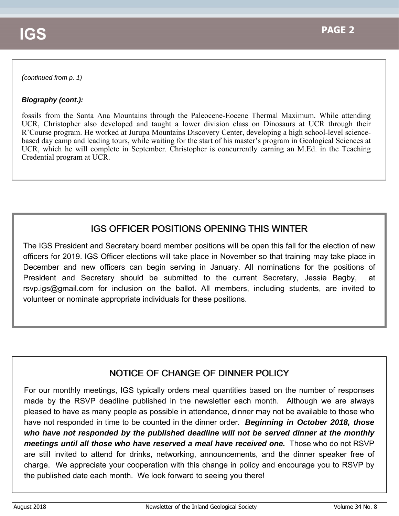### *(continued from p. 1)*

## *Biography (cont.):*

fossils from the Santa Ana Mountains through the Paleocene-Eocene Thermal Maximum. While attending UCR, Christopher also developed and taught a lower division class on Dinosaurs at UCR through their R'Course program. He worked at Jurupa Mountains Discovery Center, developing a high school-level sciencebased day camp and leading tours, while waiting for the start of his master's program in Geological Sciences at UCR, which he will complete in September. Christopher is concurrently earning an M.Ed. in the Teaching Credential program at UCR.

## **IGS OFFICER POSITIONS OPENING THIS WINTER**

The IGS President and Secretary board member positions will be open this fall for the election of new officers for 2019. IGS Officer elections will take place in November so that training may take place in December and new officers can begin serving in January. All nominations for the positions of President and Secretary should be submitted to the current Secretary, Jessie Bagby, at rsvp.igs@gmail.com for inclusion on the ballot. All members, including students, are invited to volunteer or nominate appropriate individuals for these positions.

## NOTICE OF CHANGE OF DINNER POLICY

For our monthly meetings, IGS typically orders meal quantities based on the number of responses made by the RSVP deadline published in the newsletter each month. Although we are always pleased to have as many people as possible in attendance, dinner may not be available to those who have not responded in time to be counted in the dinner order. *Beginning in October 2018, those who have not responded by the published deadline will not be served dinner at the monthly meetings until all those who have reserved a meal have received one.* Those who do not RSVP are still invited to attend for drinks, networking, announcements, and the dinner speaker free of charge. We appreciate your cooperation with this change in policy and encourage you to RSVP by the published date each month. We look forward to seeing you there!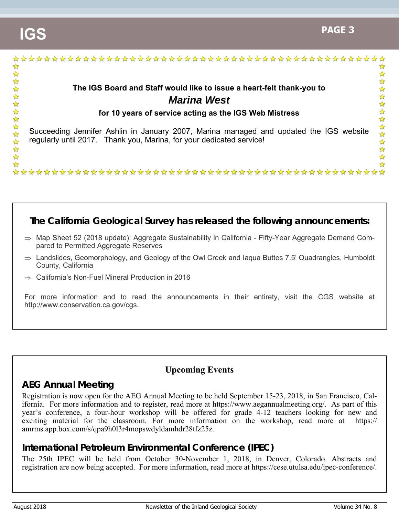

## **The California Geological Survey has released the following announcements:**

- $\Rightarrow$  Map Sheet 52 (2018 update): Aggregate Sustainability in California Fifty-Year Aggregate Demand Compared to Permitted Aggregate Reserves
- $\Rightarrow$  Landslides, Geomorphology, and Geology of the Owl Creek and lagua Buttes 7.5' Quadrangles, Humboldt County, California
- $\Rightarrow$  California's Non-Fuel Mineral Production in 2016

For more information and to read the announcements in their entirety, visit the CGS website at http://www.conservation.ca.gov/cgs.

## **Upcoming Events**

## **AEG Annual Meeting**

Registration is now open for the AEG Annual Meeting to be held September 15-23, 2018, in San Francisco, California. For more information and to register, read more at https://www.aegannualmeeting.org/. As part of this year's conference, a four-hour workshop will be offered for grade 4-12 teachers looking for new and exciting material for the classroom. For more information on the workshop, read more at https:// amrms.app.box.com/s/qpa9h0l3r4mopswdyldamhdr28tfz25z.

## **International Petroleum Environmental Conference (IPEC)**

The 25th IPEC will be held from October 30-November 1, 2018, in Denver, Colorado. Abstracts and registration are now being accepted. For more information, read more at https://cese.utulsa.edu/ipec-conference/.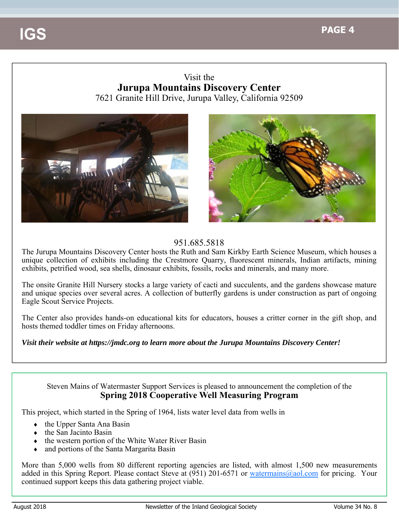## Visit the **Jurupa Mountains Discovery Center** 7621 Granite Hill Drive, Jurupa Valley, California 92509





## 951.685.5818

The Jurupa Mountains Discovery Center hosts the Ruth and Sam Kirkby Earth Science Museum, which houses a unique collection of exhibits including the Crestmore Quarry, fluorescent minerals, Indian artifacts, mining exhibits, petrified wood, sea shells, dinosaur exhibits, fossils, rocks and minerals, and many more.

The onsite Granite Hill Nursery stocks a large variety of cacti and succulents, and the gardens showcase mature and unique species over several acres. A collection of butterfly gardens is under construction as part of ongoing Eagle Scout Service Projects.

The Center also provides hands-on educational kits for educators, houses a critter corner in the gift shop, and hosts themed toddler times on Friday afternoons.

## *Visit their website at https://jmdc.org to learn more about the Jurupa Mountains Discovery Center!*

## Steven Mains of Watermaster Support Services is pleased to announcement the completion of the **Spring 2018 Cooperative Well Measuring Program**

This project, which started in the Spring of 1964, lists water level data from wells in

- the Upper Santa Ana Basin
- the San Jacinto Basin
- $\bullet$  the western portion of the White Water River Basin
- and portions of the Santa Margarita Basin

More than 5,000 wells from 80 different reporting agencies are listed, with almost 1,500 new measurements added in this Spring Report. Please contact Steve at (951) 201-6571 or watermains@aol.com for pricing. Your continued support keeps this data gathering project viable.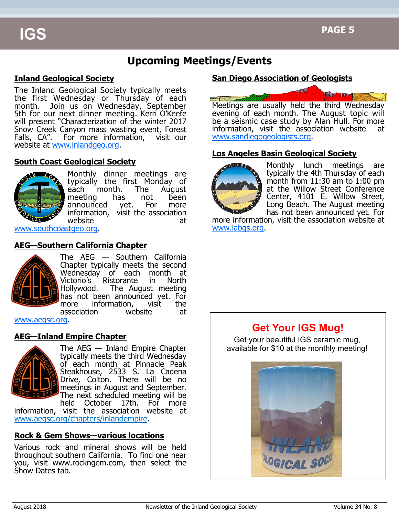## **Upcoming Meetings/Events**

## **Inland Geological Society**

The Inland Geological Society typically meets the first Wednesday or Thursday of each month. Join us on Wednesday, September 5th for our next dinner meeting. Kerri O'Keefe will present "Characterization of the winter 2017 Snow Creek Canyon mass wasting event, Forest Falls, CA". For more information, visit our website at www.inlandgeo.org.

### **South Coast Geological Society**



Monthly dinner meetings are typically the first Monday of each month. The August meeting has not been announced yet. For more information, visit the association website at at

www.southcoastgeo.org.

## **AEG—Southern California Chapter**



The AEG — Southern California Chapter typically meets the second Wednesday of each month at Victorio's Ristorante in North Hollywood. The August meeting has not been announced yet. For more information, visit the association website at

www.aegsc.org.

## **AEG—Inland Empire Chapter**



The AEG — Inland Empire Chapter typically meets the third Wednesday of each month at Pinnacle Peak Steakhouse, 2533 S. La Cadena Drive, Colton. There will be no meetings in August and September. The next scheduled meeting will be held October 17th. For more

information, visit the association website at www.aegsc.org/chapters/inlandempire.

## **Rock & Gem Shows—various locations**

Various rock and mineral shows will be held throughout southern California. To find one near you, visit www.rockngem.com, then select the Show Dates tab.

## **San Diego Association of Geologists**



Meetings are usually held the third Wednesday evening of each month. The August topic will be a seismic case study by Alan Hull. For more information, visit the association website at www.sandiegogeologists.org.

## **Los Angeles Basin Geological Society**



Monthly lunch meetings are typically the 4th Thursday of each month from 11:30 am to 1:00 pm at the Willow Street Conference Center, 4101 E. Willow Street, Long Beach. The August meeting has not been announced yet. For

more information, visit the association website at www.labgs.org.

## **Get Your IGS Mug!**

Get your beautiful IGS ceramic mug, available for \$10 at the monthly meeting!